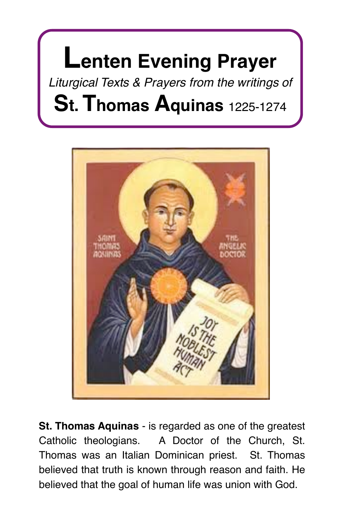



**St. Thomas Aquinas** - is regarded as one of the greatest Catholic theologians. A Doctor of the Church, St. Thomas was an Italian Dominican priest. St. Thomas believed that truth is known through reason and faith. He believed that the goal of human life was union with God.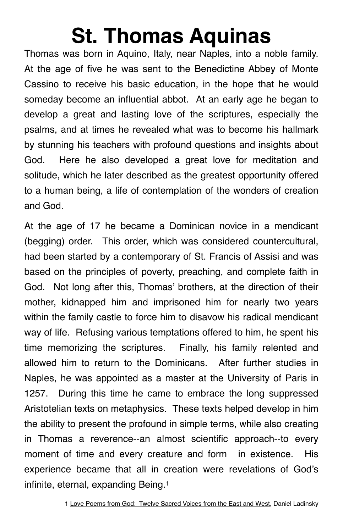# **St. Thomas Aquinas**

Thomas was born in Aquino, Italy, near Naples, into a noble family. At the age of five he was sent to the Benedictine Abbey of Monte Cassino to receive his basic education, in the hope that he would someday become an influential abbot. At an early age he began to develop a great and lasting love of the scriptures, especially the psalms, and at times he revealed what was to become his hallmark by stunning his teachers with profound questions and insights about God. Here he also developed a great love for meditation and solitude, which he later described as the greatest opportunity offered to a human being, a life of contemplation of the wonders of creation and God.

At the age of 17 he became a Dominican novice in a mendicant (begging) order. This order, which was considered countercultural, had been started by a contemporary of St. Francis of Assisi and was based on the principles of poverty, preaching, and complete faith in God. Not long after this, Thomas' brothers, at the direction of their mother, kidnapped him and imprisoned him for nearly two years within the family castle to force him to disavow his radical mendicant way of life. Refusing various temptations offered to him, he spent his time memorizing the scriptures. Finally, his family relented and allowed him to return to the Dominicans. After further studies in Naples, he was appointed as a master at the University of Paris in 1257. During this time he came to embrace the long suppressed Aristotelian texts on metaphysics. These texts helped develop in him the ability to present the profound in simple terms, while also creating in Thomas a reverence--an almost scientific approach--to every moment of time and every creature and form in existence. His experience became that all in creation were revelations of God's infinite, eternal, expanding Being.1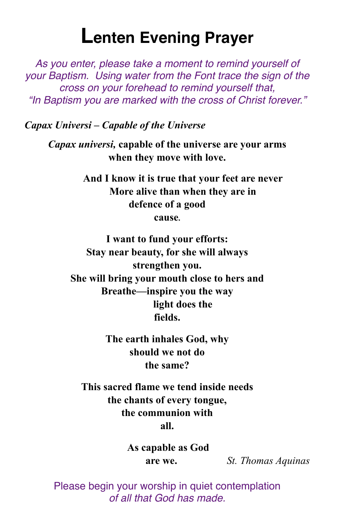# **Lenten Evening Prayer**

*As you enter, please take a moment to remind yourself of your Baptism. Using water from the Font trace the sign of the cross on your forehead to remind yourself that, "In Baptism you are marked with the cross of Christ forever."* 

*Capax Universi – Capable of the Universe*

*Capax universi,* **capable of the universe are your arms when they move with love.**

> **And I know it is true that your feet are never More alive than when they are in defence of a good cause.**

**I want to fund your efforts: Stay near beauty, for she will always strengthen you. She will bring your mouth close to hers and Breathe—inspire you the way light does the fields.**

> **The earth inhales God, why should we not do the same?**

**This sacred flame we tend inside needs the chants of every tongue, the communion with all.**

 **As capable as God**

**are we.** *St. Thomas Aquinas* 

Please begin your worship in quiet contemplation *of all that God has made.*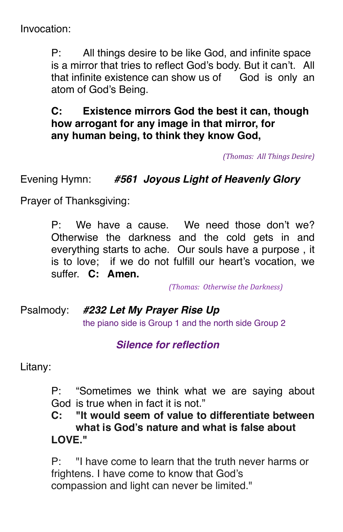Invocation:

P: All things desire to be like God, and infinite space is a mirror that tries to reflect God's body. But it can't. All that infinite existence can show us of God is only an atom of God's Being.

# **C: Existence mirrors God the best it can, though how arrogant for any image in that mirror, for any human being, to think they know God,**

*(Thomas: All Things Desire)*

Evening Hymn: *#561 Joyous Light of Heavenly Glory* 

Prayer of Thanksgiving:

P: We have a cause. We need those don't we? Otherwise the darkness and the cold gets in and everything starts to ache. Our souls have a purpose , it is to love; if we do not fulfill our heart's vocation, we suffer. **C: Amen.** 

*(Thomas: Otherwise the Darkness)*

Psalmody: *#232 Let My Prayer Rise Up*  the piano side is Group 1 and the north side Group 2

### *Silence for reflection*

Litany:

P: "Sometimes we think what we are saying about God is true when in fact it is not."

**C: "It would seem of value to differentiate between what is God's nature and what is false about LOVE."**

P: "I have come to learn that the truth never harms or frightens. I have come to know that God's compassion and light can never be limited."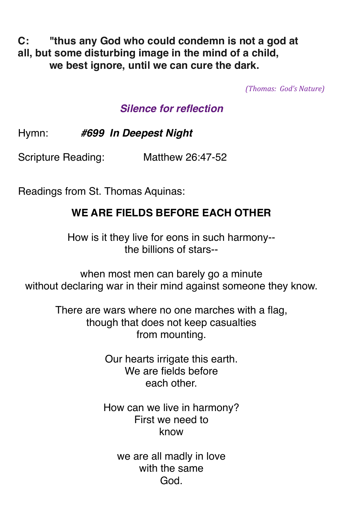**C: "thus any God who could condemn is not a god at all, but some disturbing image in the mind of a child, we best ignore, until we can cure the dark.** 

*(Thomas: God's Nature)*

#### *Silence for reflection*

Hymn: *#699 In Deepest Night*

Scripture Reading: Matthew 26:47-52

Readings from St. Thomas Aquinas:

### **WE ARE FIELDS BEFORE EACH OTHER**

How is it they live for eons in such harmony- the billions of stars--

when most men can barely go a minute without declaring war in their mind against someone they know.

> There are wars where no one marches with a flag, though that does not keep casualties from mounting.

> > Our hearts irrigate this earth. We are fields before each other.

How can we live in harmony? First we need to know

we are all madly in love with the same God.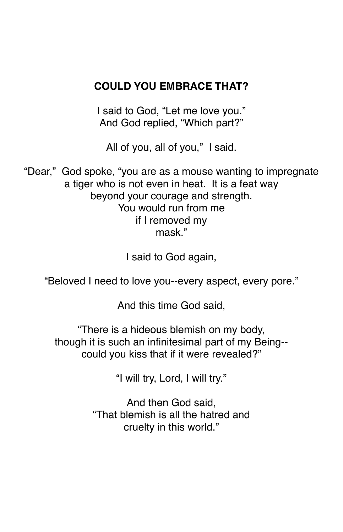# **COULD YOU EMBRACE THAT?**

I said to God, "Let me love you." And God replied, "Which part?"

All of you, all of you," I said.

"Dear," God spoke, "you are as a mouse wanting to impregnate a tiger who is not even in heat. It is a feat way beyond your courage and strength. You would run from me if I removed my mask."

I said to God again,

"Beloved I need to love you--every aspect, every pore."

And this time God said,

"There is a hideous blemish on my body, though it is such an infinitesimal part of my Being- could you kiss that if it were revealed?"

"I will try, Lord, I will try."

And then God said, "That blemish is all the hatred and cruelty in this world."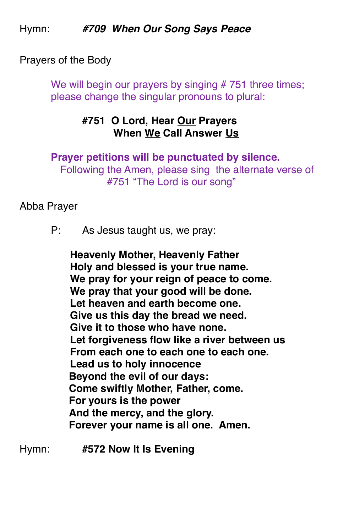Hymn: *#709 When Our Song Says Peace* 

#### Prayers of the Body

We will begin our prayers by singing #751 three times; please change the singular pronouns to plural:

#### **#751 O Lord, Hear Our Prayers When We Call Answer Us**

**Prayer petitions will be punctuated by silence.**  Following the Amen, please sing the alternate verse of #751 "The Lord is our song"

#### Abba Prayer

P: As Jesus taught us, we pray:

**Heavenly Mother, Heavenly Father Holy and blessed is your true name. We pray for your reign of peace to come. We pray that your good will be done. Let heaven and earth become one. Give us this day the bread we need. Give it to those who have none. Let forgiveness flow like a river between us From each one to each one to each one. Lead us to holy innocence Beyond the evil of our days: Come swiftly Mother, Father, come. For yours is the power And the mercy, and the glory. Forever your name is all one. Amen.** 

Hymn: **#572 Now It Is Evening**